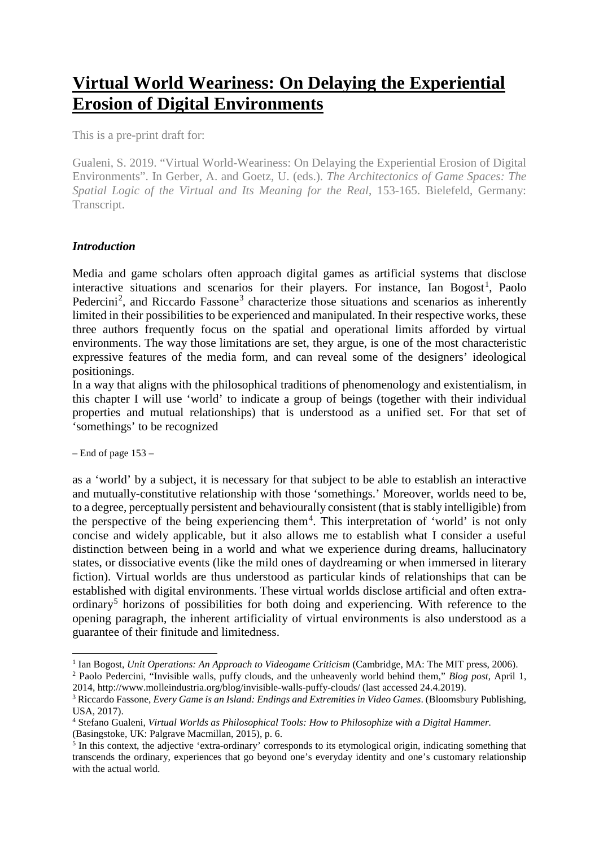# **Virtual World Weariness: On Delaying the Experiential Erosion of Digital Environments**

This is a pre-print draft for:

Gualeni, S. 2019. "Virtual World-Weariness: On Delaying the Experiential Erosion of Digital Environments". In Gerber, A. and Goetz, U. (eds.). *The Architectonics of Game Spaces: The Spatial Logic of the Virtual and Its Meaning for the Real*, 153-165. Bielefeld, Germany: Transcript.

## *Introduction*

Media and game scholars often approach digital games as artificial systems that disclose interactive situations and scenarios for their players. For instance, Ian Bogost<sup>[1](#page-0-0)</sup>, Paolo Pedercini<sup>[2](#page-0-1)</sup>, and Riccardo Fassone<sup>[3](#page-0-2)</sup> characterize those situations and scenarios as inherently limited in their possibilities to be experienced and manipulated. In their respective works, these three authors frequently focus on the spatial and operational limits afforded by virtual environments. The way those limitations are set, they argue, is one of the most characteristic expressive features of the media form, and can reveal some of the designers' ideological positionings.

In a way that aligns with the philosophical traditions of phenomenology and existentialism, in this chapter I will use 'world' to indicate a group of beings (together with their individual properties and mutual relationships) that is understood as a unified set. For that set of 'somethings' to be recognized

– End of page 153 –

 $\overline{a}$ 

as a 'world' by a subject, it is necessary for that subject to be able to establish an interactive and mutually-constitutive relationship with those 'somethings.' Moreover, worlds need to be, to a degree, perceptually persistent and behaviourally consistent (that is stably intelligible) from the perspective of the being experiencing them<sup>[4](#page-0-3)</sup>. This interpretation of 'world' is not only concise and widely applicable, but it also allows me to establish what I consider a useful distinction between being in a world and what we experience during dreams, hallucinatory states, or dissociative events (like the mild ones of daydreaming or when immersed in literary fiction). Virtual worlds are thus understood as particular kinds of relationships that can be established with digital environments. These virtual worlds disclose artificial and often extra-ordinary<sup>[5](#page-0-4)</sup> horizons of possibilities for both doing and experiencing. With reference to the opening paragraph, the inherent artificiality of virtual environments is also understood as a guarantee of their finitude and limitedness.

<span id="page-0-0"></span><sup>&</sup>lt;sup>1</sup> Ian Bogost, *Unit Operations: An Approach to Videogame Criticism* (Cambridge, MA: The MIT press, 2006).

<span id="page-0-1"></span><sup>2</sup> Paolo Pedercini, "Invisible walls, puffy clouds, and the unheavenly world behind them," *Blog post*, April 1, 2014, http://www.molleindustria.org/blog/invisible-walls-puffy-clouds/ (last accessed 24.4.2019).

<span id="page-0-2"></span><sup>3</sup> Riccardo Fassone, *Every Game is an Island: Endings and Extremities in Video Games*. (Bloomsbury Publishing, USA, 2017).

<span id="page-0-3"></span><sup>4</sup> Stefano Gualeni, *Virtual Worlds as Philosophical Tools: How to Philosophize with a Digital Hammer.* (Basingstoke, UK: Palgrave Macmillan, 2015), p. 6.

<span id="page-0-4"></span><sup>&</sup>lt;sup>5</sup> In this context, the adjective 'extra-ordinary' corresponds to its etymological origin, indicating something that transcends the ordinary, experiences that go beyond one's everyday identity and one's customary relationship with the actual world.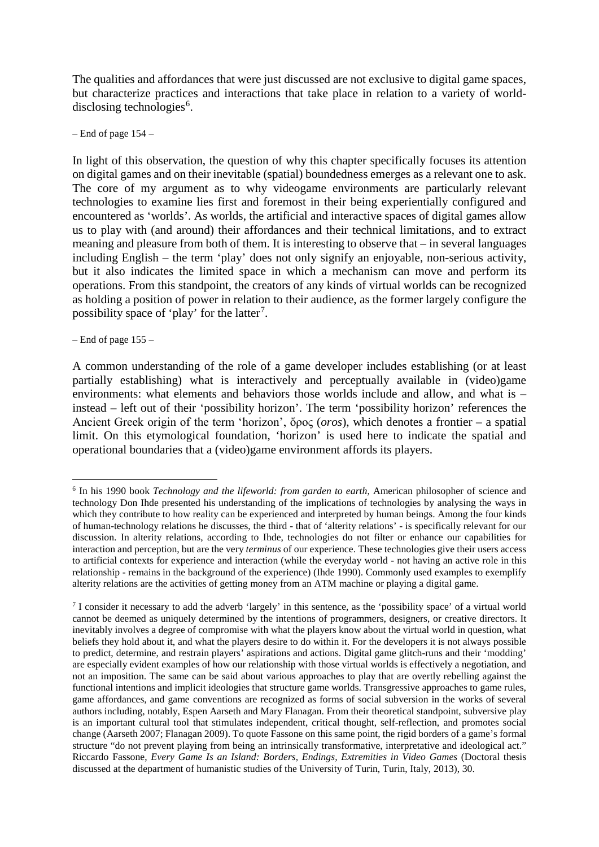The qualities and affordances that were just discussed are not exclusive to digital game spaces, but characterize practices and interactions that take place in relation to a variety of world-disclosing technologies<sup>[6](#page-1-0)</sup>.

– End of page 154 –

In light of this observation, the question of why this chapter specifically focuses its attention on digital games and on their inevitable (spatial) boundedness emerges as a relevant one to ask. The core of my argument as to why videogame environments are particularly relevant technologies to examine lies first and foremost in their being experientially configured and encountered as 'worlds'. As worlds, the artificial and interactive spaces of digital games allow us to play with (and around) their affordances and their technical limitations, and to extract meaning and pleasure from both of them. It is interesting to observe that – in several languages including English – the term 'play' does not only signify an enjoyable, non-serious activity, but it also indicates the limited space in which a mechanism can move and perform its operations. From this standpoint, the creators of any kinds of virtual worlds can be recognized as holding a position of power in relation to their audience, as the former largely configure the possibility space of 'play' for the latter<sup>[7](#page-1-1)</sup>.

– End of page 155 –

**.** 

A common understanding of the role of a game developer includes establishing (or at least partially establishing) what is interactively and perceptually available in (video)game environments: what elements and behaviors those worlds include and allow, and what is – instead – left out of their 'possibility horizon'. The term 'possibility horizon' references the Ancient Greek origin of the term 'horizon', ὄρος (*oros*), which denotes a frontier – a spatial limit. On this etymological foundation, 'horizon' is used here to indicate the spatial and operational boundaries that a (video)game environment affords its players.

<span id="page-1-0"></span><sup>6</sup> In his 1990 book *Technology and the lifeworld: from garden to earth*, American philosopher of science and technology Don Ihde presented his understanding of the implications of technologies by analysing the ways in which they contribute to how reality can be experienced and interpreted by human beings. Among the four kinds of human-technology relations he discusses, the third - that of 'alterity relations' - is specifically relevant for our discussion. In alterity relations, according to Ihde, technologies do not filter or enhance our capabilities for interaction and perception, but are the very *terminus* of our experience. These technologies give their users access to artificial contexts for experience and interaction (while the everyday world - not having an active role in this relationship - remains in the background of the experience) (Ihde 1990). Commonly used examples to exemplify alterity relations are the activities of getting money from an ATM machine or playing a digital game.

<span id="page-1-1"></span><sup>7</sup> I consider it necessary to add the adverb 'largely' in this sentence, as the 'possibility space' of a virtual world cannot be deemed as uniquely determined by the intentions of programmers, designers, or creative directors. It inevitably involves a degree of compromise with what the players know about the virtual world in question, what beliefs they hold about it, and what the players desire to do within it. For the developers it is not always possible to predict, determine, and restrain players' aspirations and actions. Digital game glitch-runs and their 'modding' are especially evident examples of how our relationship with those virtual worlds is effectively a negotiation, and not an imposition. The same can be said about various approaches to play that are overtly rebelling against the functional intentions and implicit ideologies that structure game worlds. Transgressive approaches to game rules, game affordances, and game conventions are recognized as forms of social subversion in the works of several authors including, notably, Espen Aarseth and Mary Flanagan. From their theoretical standpoint, subversive play is an important cultural tool that stimulates independent, critical thought, self-reflection, and promotes social change (Aarseth 2007; Flanagan 2009). To quote Fassone on this same point, the rigid borders of a game's formal structure "do not prevent playing from being an intrinsically transformative, interpretative and ideological act." Riccardo Fassone, *Every Game Is an Island: Borders, Endings, Extremities in Video Games* (Doctoral thesis discussed at the department of humanistic studies of the University of Turin, Turin, Italy, 2013), 30.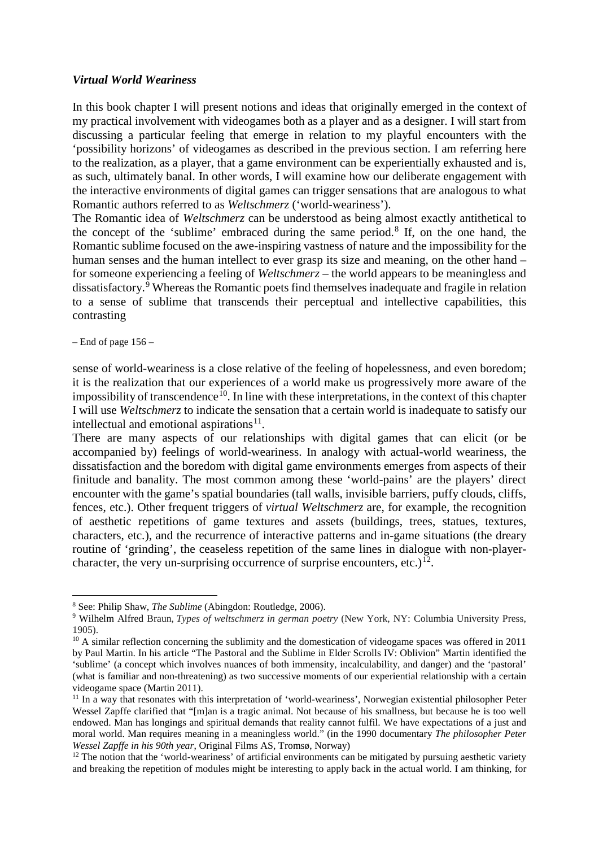#### *Virtual World Weariness*

In this book chapter I will present notions and ideas that originally emerged in the context of my practical involvement with videogames both as a player and as a designer. I will start from discussing a particular feeling that emerge in relation to my playful encounters with the 'possibility horizons' of videogames as described in the previous section. I am referring here to the realization, as a player, that a game environment can be experientially exhausted and is, as such, ultimately banal. In other words, I will examine how our deliberate engagement with the interactive environments of digital games can trigger sensations that are analogous to what Romantic authors referred to as *Weltschmerz* ('world-weariness').

The Romantic idea of *Weltschmerz* can be understood as being almost exactly antithetical to the concept of the 'sublime' embraced during the same period. [8](#page-2-0) If, on the one hand, the Romantic sublime focused on the awe-inspiring vastness of nature and the impossibility for the human senses and the human intellect to ever grasp its size and meaning, on the other hand – for someone experiencing a feeling of *Weltschmerz* – the world appears to be meaningless and dissatisfactory. [9](#page-2-1) Whereas the Romantic poets find themselves inadequate and fragile in relation to a sense of sublime that transcends their perceptual and intellective capabilities, this contrasting

 $-$  End of page 156 $-$ 

**.** 

sense of world-weariness is a close relative of the feeling of hopelessness, and even boredom; it is the realization that our experiences of a world make us progressively more aware of the impossibility of transcendence<sup>10</sup>. In line with these interpretations, in the context of this chapter I will use *Weltschmerz* to indicate the sensation that a certain world is inadequate to satisfy our intellectual and emotional aspirations $11$ .

There are many aspects of our relationships with digital games that can elicit (or be accompanied by) feelings of world-weariness. In analogy with actual-world weariness, the dissatisfaction and the boredom with digital game environments emerges from aspects of their finitude and banality. The most common among these 'world-pains' are the players' direct encounter with the game's spatial boundaries (tall walls, invisible barriers, puffy clouds, cliffs, fences, etc.). Other frequent triggers of *virtual Weltschmerz* are, for example, the recognition of aesthetic repetitions of game textures and assets (buildings, trees, statues, textures, characters, etc.), and the recurrence of interactive patterns and in-game situations (the dreary routine of 'grinding', the ceaseless repetition of the same lines in dialogue with non-player-character, the very un-surprising occurrence of surprise encounters, etc.)<sup>[12](#page-2-4)</sup>.

<span id="page-2-0"></span><sup>8</sup> See: Philip Shaw, *The Sublime* (Abingdon: Routledge, 2006).

<span id="page-2-1"></span><sup>9</sup> Wilhelm Alfred Braun, *Types of weltschmerz in german poetry* (New York, NY: Columbia University Press, 1905).

<span id="page-2-2"></span><sup>&</sup>lt;sup>10</sup> A similar reflection concerning the sublimity and the domestication of videogame spaces was offered in 2011 by Paul Martin. In his article "The Pastoral and the Sublime in Elder Scrolls IV: Oblivion" Martin identified the 'sublime' (a concept which involves nuances of both immensity, incalculability, and danger) and the 'pastoral' (what is familiar and non-threatening) as two successive moments of our experiential relationship with a certain videogame space (Martin 2011).

<span id="page-2-3"></span><sup>&</sup>lt;sup>11</sup> In a way that resonates with this interpretation of 'world-weariness', Norwegian existential philosopher Peter Wessel Zapffe clarified that "[m]an is a tragic animal. Not because of his smallness, but because he is too well endowed. Man has longings and spiritual demands that reality cannot fulfil. We have expectations of a just and moral world. Man requires meaning in a meaningless world." (in the 1990 documentary *The philosopher Peter Wessel Zapffe in his 90th year*, Original Films AS, Tromsø, Norway)

<span id="page-2-4"></span> $12$  The notion that the 'world-weariness' of artificial environments can be mitigated by pursuing aesthetic variety and breaking the repetition of modules might be interesting to apply back in the actual world. I am thinking, for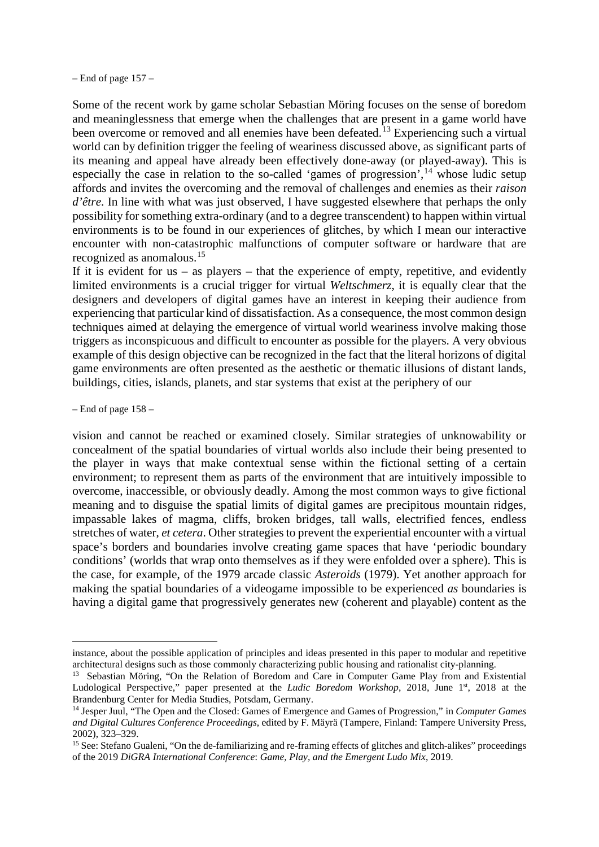– End of page 157 –

Some of the recent work by game scholar Sebastian Möring focuses on the sense of boredom and meaninglessness that emerge when the challenges that are present in a game world have been overcome or removed and all enemies have been defeated.<sup>[13](#page-3-0)</sup> Experiencing such a virtual world can by definition trigger the feeling of weariness discussed above, as significant parts of its meaning and appeal have already been effectively done-away (or played-away). This is especially the case in relation to the so-called 'games of progression',<sup>[14](#page-3-1)</sup> whose ludic setup affords and invites the overcoming and the removal of challenges and enemies as their *raison d'être*. In line with what was just observed, I have suggested elsewhere that perhaps the only possibility for something extra-ordinary (and to a degree transcendent) to happen within virtual environments is to be found in our experiences of glitches, by which I mean our interactive encounter with non-catastrophic malfunctions of computer software or hardware that are recognized as anomalous.[15](#page-3-2)

If it is evident for  $us - as$  players – that the experience of empty, repetitive, and evidently limited environments is a crucial trigger for virtual *Weltschmerz*, it is equally clear that the designers and developers of digital games have an interest in keeping their audience from experiencing that particular kind of dissatisfaction. As a consequence, the most common design techniques aimed at delaying the emergence of virtual world weariness involve making those triggers as inconspicuous and difficult to encounter as possible for the players. A very obvious example of this design objective can be recognized in the fact that the literal horizons of digital game environments are often presented as the aesthetic or thematic illusions of distant lands, buildings, cities, islands, planets, and star systems that exist at the periphery of our

 $-$  End of page 158  $-$ 

 $\overline{a}$ 

vision and cannot be reached or examined closely. Similar strategies of unknowability or concealment of the spatial boundaries of virtual worlds also include their being presented to the player in ways that make contextual sense within the fictional setting of a certain environment; to represent them as parts of the environment that are intuitively impossible to overcome, inaccessible, or obviously deadly. Among the most common ways to give fictional meaning and to disguise the spatial limits of digital games are precipitous mountain ridges, impassable lakes of magma, cliffs, broken bridges, tall walls, electrified fences, endless stretches of water, *et cetera*. Other strategies to prevent the experiential encounter with a virtual space's borders and boundaries involve creating game spaces that have 'periodic boundary conditions' (worlds that wrap onto themselves as if they were enfolded over a sphere). This is the case, for example, of the 1979 arcade classic *Asteroids* (1979). Yet another approach for making the spatial boundaries of a videogame impossible to be experienced *as* boundaries is having a digital game that progressively generates new (coherent and playable) content as the

instance, about the possible application of principles and ideas presented in this paper to modular and repetitive architectural designs such as those commonly characterizing public housing and rationalist city-planning.

<span id="page-3-0"></span><sup>&</sup>lt;sup>13</sup> Sebastian Möring, "On the Relation of Boredom and Care in Computer Game Play from and Existential Ludological Perspective," paper presented at the *Ludic Boredom Workshop*, 2018, June 1<sup>st</sup>, 2018 at the Brandenburg Center for Media Studies, Potsdam, Germany.

<span id="page-3-1"></span><sup>14</sup> Jesper Juul, "The Open and the Closed: Games of Emergence and Games of Progression," in *Computer Games and Digital Cultures Conference Proceedings*, edited by F. Mäyrä (Tampere, Finland: Tampere University Press, 2002), 323–329. 15 See: Stefano Gualeni, "On the de-familiarizing and re-framing effects of glitches and glitch-alikes" proceedings

<span id="page-3-2"></span>of the 2019 *DiGRA International Conference*: *Game, Play, and the Emergent Ludo Mix*, 2019.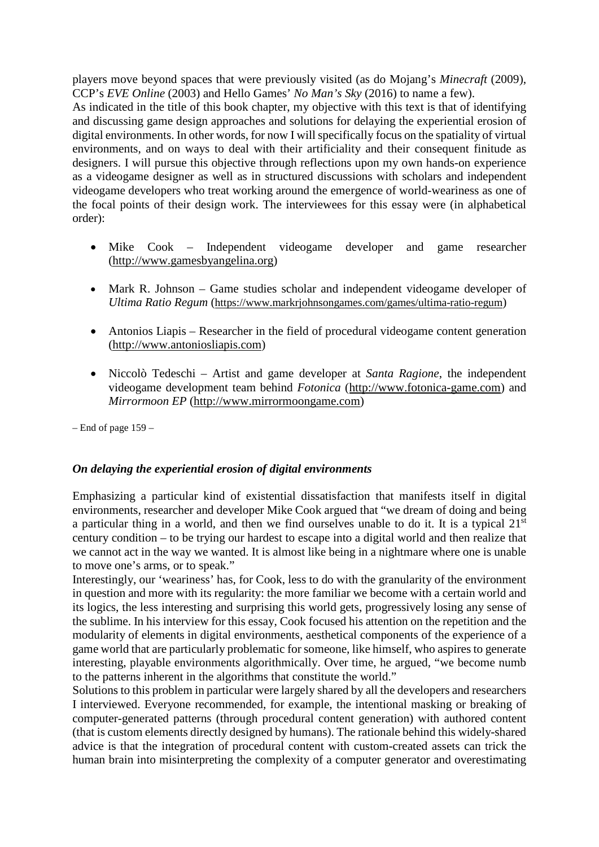players move beyond spaces that were previously visited (as do Mojang's *Minecraft* (2009), CCP's *EVE Online* (2003) and Hello Games' *No Man's Sky* (2016) to name a few).

As indicated in the title of this book chapter, my objective with this text is that of identifying and discussing game design approaches and solutions for delaying the experiential erosion of digital environments. In other words, for now I will specifically focus on the spatiality of virtual environments, and on ways to deal with their artificiality and their consequent finitude as designers. I will pursue this objective through reflections upon my own hands-on experience as a videogame designer as well as in structured discussions with scholars and independent videogame developers who treat working around the emergence of world-weariness as one of the focal points of their design work. The interviewees for this essay were (in alphabetical order):

- Mike Cook Independent videogame developer and game researcher [\(http://www.gamesbyangelina.org\)](http://www.gamesbyangelina.org/)
- Mark R. Johnson Game studies scholar and independent videogame developer of *Ultima Ratio Regum* (https://www.markrjohnsongames.com/games/ultima-ratio-regum)
- Antonios Liapis Researcher in the field of procedural videogame content generation (http://www.antoniosliapis.com)
- Niccolò Tedeschi Artist and game developer at *Santa Ragione*, the independent videogame development team behind *Fotonica* [\(http://www.fotonica-game.com\)](http://www.fotonica-game.com/) and *Mirrormoon EP* [\(http://www.mirrormoongame.com\)](http://www.mirrormoongame.com/)

– End of page 159 –

## *On delaying the experiential erosion of digital environments*

Emphasizing a particular kind of existential dissatisfaction that manifests itself in digital environments, researcher and developer Mike Cook argued that "we dream of doing and being a particular thing in a world, and then we find ourselves unable to do it. It is a typical 21st century condition – to be trying our hardest to escape into a digital world and then realize that we cannot act in the way we wanted. It is almost like being in a nightmare where one is unable to move one's arms, or to speak."

Interestingly, our 'weariness' has, for Cook, less to do with the granularity of the environment in question and more with its regularity: the more familiar we become with a certain world and its logics, the less interesting and surprising this world gets, progressively losing any sense of the sublime. In his interview for this essay, Cook focused his attention on the repetition and the modularity of elements in digital environments, aesthetical components of the experience of a game world that are particularly problematic for someone, like himself, who aspires to generate interesting, playable environments algorithmically. Over time, he argued, "we become numb to the patterns inherent in the algorithms that constitute the world."

Solutions to this problem in particular were largely shared by all the developers and researchers I interviewed. Everyone recommended, for example, the intentional masking or breaking of computer-generated patterns (through procedural content generation) with authored content (that is custom elements directly designed by humans). The rationale behind this widely-shared advice is that the integration of procedural content with custom-created assets can trick the human brain into misinterpreting the complexity of a computer generator and overestimating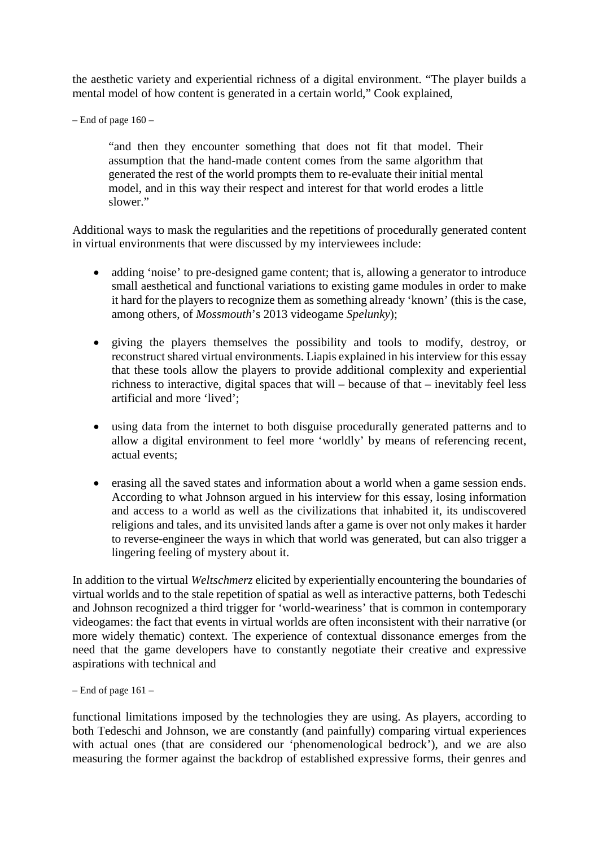the aesthetic variety and experiential richness of a digital environment. "The player builds a mental model of how content is generated in a certain world," Cook explained,

– End of page  $160 -$ 

"and then they encounter something that does not fit that model. Their assumption that the hand-made content comes from the same algorithm that generated the rest of the world prompts them to re-evaluate their initial mental model, and in this way their respect and interest for that world erodes a little slower."

Additional ways to mask the regularities and the repetitions of procedurally generated content in virtual environments that were discussed by my interviewees include:

- adding 'noise' to pre-designed game content; that is, allowing a generator to introduce small aesthetical and functional variations to existing game modules in order to make it hard for the players to recognize them as something already 'known' (this is the case, among others, of *Mossmouth*'s 2013 videogame *Spelunky*);
- giving the players themselves the possibility and tools to modify, destroy, or reconstruct shared virtual environments. Liapis explained in his interview for this essay that these tools allow the players to provide additional complexity and experiential richness to interactive, digital spaces that will – because of that – inevitably feel less artificial and more 'lived';
- using data from the internet to both disguise procedurally generated patterns and to allow a digital environment to feel more 'worldly' by means of referencing recent, actual events;
- erasing all the saved states and information about a world when a game session ends. According to what Johnson argued in his interview for this essay, losing information and access to a world as well as the civilizations that inhabited it, its undiscovered religions and tales, and its unvisited lands after a game is over not only makes it harder to reverse-engineer the ways in which that world was generated, but can also trigger a lingering feeling of mystery about it.

In addition to the virtual *Weltschmerz* elicited by experientially encountering the boundaries of virtual worlds and to the stale repetition of spatial as well as interactive patterns, both Tedeschi and Johnson recognized a third trigger for 'world-weariness' that is common in contemporary videogames: the fact that events in virtual worlds are often inconsistent with their narrative (or more widely thematic) context. The experience of contextual dissonance emerges from the need that the game developers have to constantly negotiate their creative and expressive aspirations with technical and

functional limitations imposed by the technologies they are using. As players, according to both Tedeschi and Johnson, we are constantly (and painfully) comparing virtual experiences with actual ones (that are considered our 'phenomenological bedrock'), and we are also measuring the former against the backdrop of established expressive forms, their genres and

 $-$  End of page 161 $-$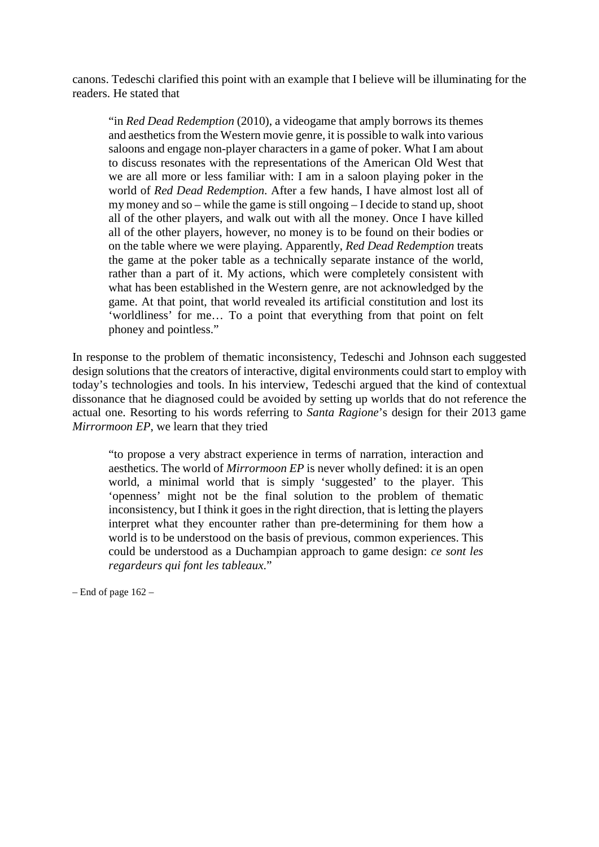canons. Tedeschi clarified this point with an example that I believe will be illuminating for the readers. He stated that

"in *Red Dead Redemption* (2010), a videogame that amply borrows its themes and aesthetics from the Western movie genre, it is possible to walk into various saloons and engage non-player characters in a game of poker. What I am about to discuss resonates with the representations of the American Old West that we are all more or less familiar with: I am in a saloon playing poker in the world of *Red Dead Redemption*. After a few hands, I have almost lost all of my money and so – while the game is still ongoing – I decide to stand up, shoot all of the other players, and walk out with all the money. Once I have killed all of the other players, however, no money is to be found on their bodies or on the table where we were playing. Apparently, *Red Dead Redemption* treats the game at the poker table as a technically separate instance of the world, rather than a part of it. My actions, which were completely consistent with what has been established in the Western genre, are not acknowledged by the game. At that point, that world revealed its artificial constitution and lost its 'worldliness' for me… To a point that everything from that point on felt phoney and pointless."

In response to the problem of thematic inconsistency, Tedeschi and Johnson each suggested design solutions that the creators of interactive, digital environments could start to employ with today's technologies and tools. In his interview, Tedeschi argued that the kind of contextual dissonance that he diagnosed could be avoided by setting up worlds that do not reference the actual one. Resorting to his words referring to *Santa Ragione*'s design for their 2013 game *Mirrormoon EP*, we learn that they tried

"to propose a very abstract experience in terms of narration, interaction and aesthetics. The world of *Mirrormoon EP* is never wholly defined: it is an open world, a minimal world that is simply 'suggested' to the player. This 'openness' might not be the final solution to the problem of thematic inconsistency, but I think it goes in the right direction, that is letting the players interpret what they encounter rather than pre-determining for them how a world is to be understood on the basis of previous, common experiences. This could be understood as a Duchampian approach to game design: *ce sont les regardeurs qui font les tableaux*."

– End of page 162 –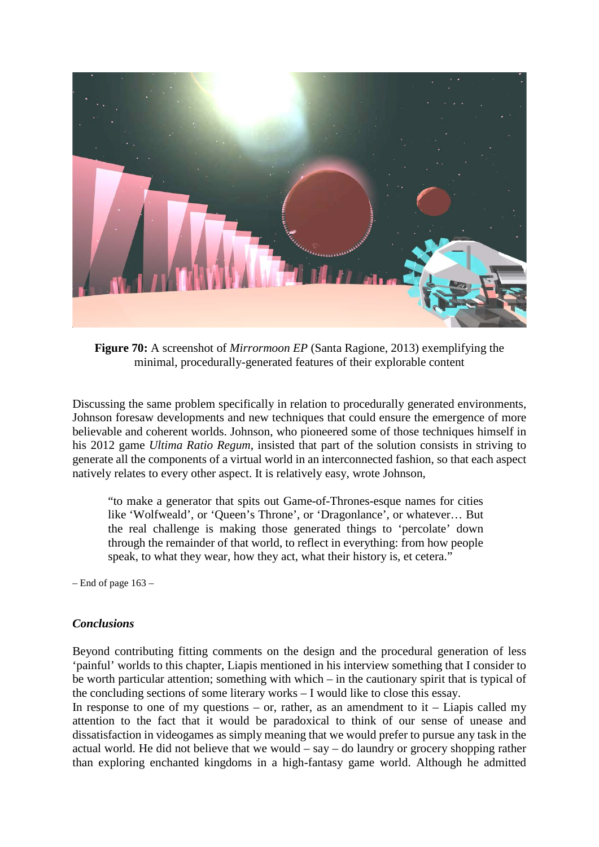

**Figure 70:** A screenshot of *Mirrormoon EP* (Santa Ragione, 2013) exemplifying the minimal, procedurally-generated features of their explorable content

Discussing the same problem specifically in relation to procedurally generated environments, Johnson foresaw developments and new techniques that could ensure the emergence of more believable and coherent worlds. Johnson, who pioneered some of those techniques himself in his 2012 game *Ultima Ratio Regum*, insisted that part of the solution consists in striving to generate all the components of a virtual world in an interconnected fashion, so that each aspect natively relates to every other aspect. It is relatively easy, wrote Johnson,

"to make a generator that spits out Game-of-Thrones-esque names for cities like 'Wolfweald', or 'Queen's Throne', or 'Dragonlance', or whatever… But the real challenge is making those generated things to 'percolate' down through the remainder of that world, to reflect in everything: from how people speak, to what they wear, how they act, what their history is, et cetera."

– End of page 163 –

### *Conclusions*

Beyond contributing fitting comments on the design and the procedural generation of less 'painful' worlds to this chapter, Liapis mentioned in his interview something that I consider to be worth particular attention; something with which – in the cautionary spirit that is typical of the concluding sections of some literary works – I would like to close this essay.

In response to one of my questions – or, rather, as an amendment to  $it$  – Liapis called my attention to the fact that it would be paradoxical to think of our sense of unease and dissatisfaction in videogames as simply meaning that we would prefer to pursue any task in the actual world. He did not believe that we would – say – do laundry or grocery shopping rather than exploring enchanted kingdoms in a high-fantasy game world. Although he admitted